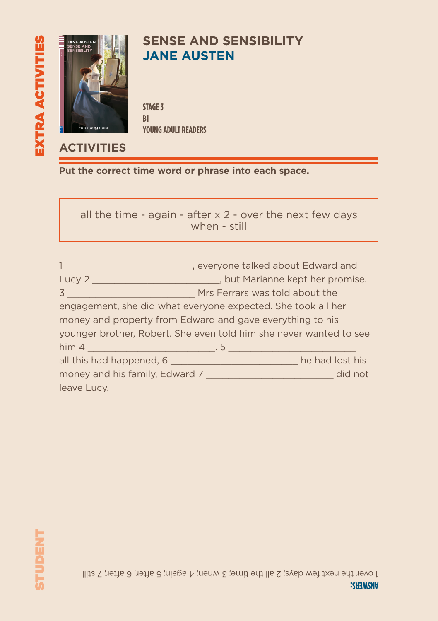

# **SENSE AND SENSIBILITY JANE AUSTEN**

**STAGE 3 B1 YOUNG ADULT READERS**

### **ACTIVITIES**

**Put the correct time word or phrase into each space.**

all the time - again - after  $x$  2 - over the next few days when - still

|                                                           | everyone talked about Edward and                                         |  |  |  |  |
|-----------------------------------------------------------|--------------------------------------------------------------------------|--|--|--|--|
|                                                           | Lucy 2 _________________________________, but Marianne kept her promise. |  |  |  |  |
|                                                           | <b>3</b> Mrs Ferrars was told about the                                  |  |  |  |  |
|                                                           | engagement, she did what everyone expected. She took all her             |  |  |  |  |
| money and property from Edward and gave everything to his |                                                                          |  |  |  |  |
|                                                           | younger brother, Robert. She even told him she never wanted to see       |  |  |  |  |
|                                                           |                                                                          |  |  |  |  |
| all this had happened, 6                                  | he had lost his                                                          |  |  |  |  |
|                                                           | money and his family, Edward 7                                           |  |  |  |  |
| leave Lucy.                                               |                                                                          |  |  |  |  |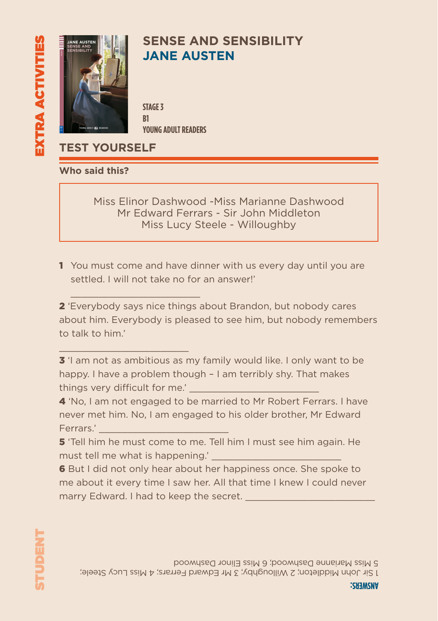

# **SENSE AND SENSIBILITY JANE AUSTEN**

**STAGE 3 B1 YOUNG ADULT READERS**

**TEST YOURSELF**

 $\mathcal{L}_\text{max}$  and  $\mathcal{L}_\text{max}$  are the set of the set of the set of the set of the set of the set of the set of the set of the set of the set of the set of the set of the set of the set of the set of the set of the set o

 $\mathcal{L}_\text{max}$  and  $\mathcal{L}_\text{max}$  are the set of the set of the set of the set of the set of the set of the set of the set of the set of the set of the set of the set of the set of the set of the set of the set of the set o

**Who said this?**

Miss Elinor Dashwood -Miss Marianne Dashwood Mr Edward Ferrars - Sir John Middleton Miss Lucy Steele - Willoughby

1 You must come and have dinner with us every day until you are settled. I will not take no for an answer!'

2 'Everybody says nice things about Brandon, but nobody cares about him. Everybody is pleased to see him, but nobody remembers to talk to him.'

**3** 'I am not as ambitious as my family would like. I only want to be happy. I have a problem though – I am terribly shy. That makes things very difficult for me.'

4 'No, I am not engaged to be married to Mr Robert Ferrars. I have never met him. No, I am engaged to his older brother, Mr Edward Ferrars<sup>'</sup>

5 'Tell him he must come to me. Tell him I must see him again. He must tell me what is happening.'

**6** But I did not only hear about her happiness once. She spoke to me about it every time I saw her. All that time I knew I could never marry Edward. I had to keep the secret.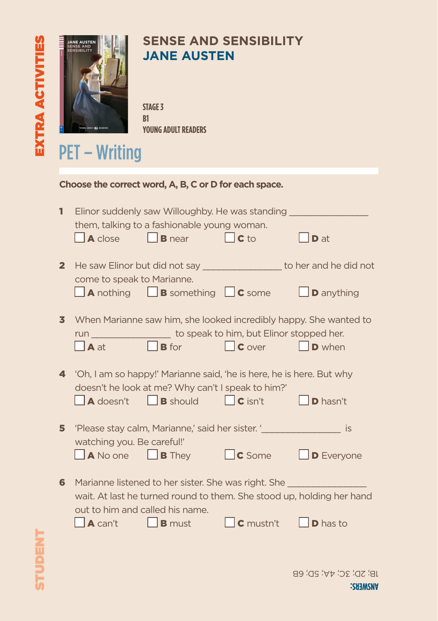

# **SENSE AND SENSIBILITY JANE AUSTEN**

**STAGE 3 B1 YOUNG ADULT READERS**

# PET – Writing

| Choose the correct word, A, B, C or D for each space. |                                                                   |                                                                                                                                                             |                  |                                                                                                     |
|-------------------------------------------------------|-------------------------------------------------------------------|-------------------------------------------------------------------------------------------------------------------------------------------------------------|------------------|-----------------------------------------------------------------------------------------------------|
| 1                                                     | $\overline{A}$ close                                              | Elinor suddenly saw Willoughby. He was standing _<br>them, talking to a fashionable young woman.<br>$\Box$ <b>B</b> near                                    | $\Box$ C to      | D at                                                                                                |
| $\mathbf{2}^-$                                        | come to speak to Marianne.                                        | $\Box$ <b>A</b> nothing $\Box$ <b>B</b> something $\Box$ <b>C</b> some                                                                                      |                  | He saw Elinor but did not say ___________________ to her and he did not<br>$\Box$ <b>D</b> anything |
| 3.                                                    | $\Box$ A at                                                       | run _______________________ to speak to him, but Elinor stopped her.<br><b>B</b> for <b>C</b> over                                                          |                  | When Marianne saw him, she looked incredibly happy. She wanted to<br>$\Box$ D when                  |
| 4                                                     | $\Box$ <b>A</b> doesn't                                           | 'Oh, I am so happy!' Marianne said, 'he is here, he is here. But why<br>doesn't he look at me? Why can't I speak to him?'<br><b>B</b> should <b>C</b> isn't |                  | $\vert$ $\vert$ <b>D</b> hasn't                                                                     |
| 5                                                     | watching you. Be careful!'<br>$\Box$ <b>A</b> No one              | 'Please stay calm, Marianne,' said her sister. '________________________________<br>$\Box$ <b>B</b> They                                                    | $\Box$ C Some    | <b>IS</b><br>$\Box$ <b>D</b> Everyone                                                               |
| 6.                                                    | out to him and called his name.<br>$\vert$ $\vert$ <b>A</b> can't | Marianne listened to her sister. She was right. She __________<br>$\Box$ <b>B</b> must                                                                      | $\Box$ C mustn't | wait. At last he turned round to them. She stood up, holding her hand<br>$\mathsf{D}$ has to        |
|                                                       |                                                                   |                                                                                                                                                             |                  | $IB$ : $SD$ : $2C$ : $4V$ : $2D$ : $EB$                                                             |

**ANSWERS:**